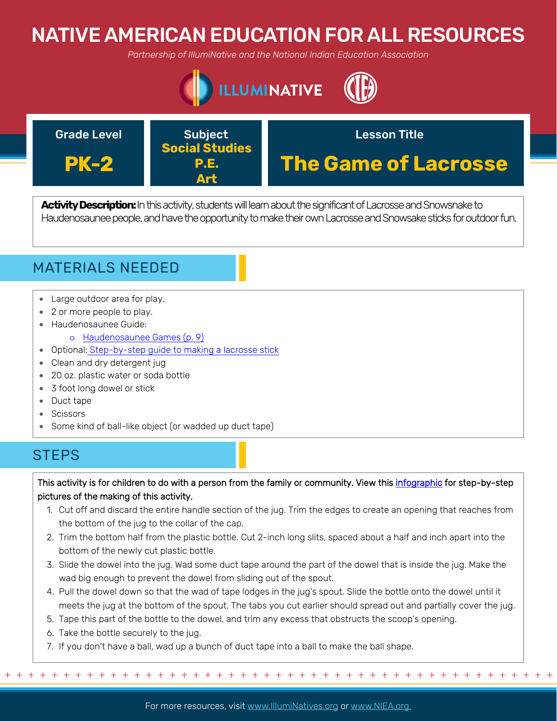# NATIVE AMERICAN EDUCATION FOR ALL RESOURCES

*Partnership of IllumiNative and the National Indian Education Association*





**Activity Description:**In this activity, students will learn about the significant of Lacrosse and Snowsnake to Haudenosaunee people, and have the opportunity to make their own Lacrosse and Snowsake sticks for outdoor fun.



- Large outdoor area for play.
- [2 or more peop](http://apps.educationnorthwest.org/indianreading/2/book15.pdf)le to play.
- Haudenosaunee Guide:
	- o [Haudenosaunee Games \(p. 9\)](https://americanindian.si.edu/sites/1/files/pdf/education/HaudenosauneeGuide.pdf)
- [Optional: Step-by-step guide to making a lacrosse stick](https://www.pinterest.com/pin/231091024599187521/)
- Clean and dry detergent jug
- 20 oz. plastic water or soda bottle
- 3 foot long dowel or stick
- Duct tape
- Scissors
- Some kind of ball-like object (or wadded up duct tape)

## **STEPS**

This activity is for children to do with a person from the family or community. View this [infographic](https://www.pinterest.com/pin/231091024599187521/) for step-by-step pictures of the making of this activity.

- 1. Cut off and discard the entire handle section of the jug. Trim the edges to create an opening that reaches from the bottom of the jug to the collar of the cap.
- 2. Trim the bottom half from the plastic bottle. Cut 2-inch long slits, spaced about a half and inch apart into the bottom of the newly cut plastic bottle.
- 3. Slide the dowel into the jug. Wad some duct tape around the part of the dowel that is inside the jug. Make the wad big enough to prevent the dowel from sliding out of the spout.
- 4. Pull the dowel down so that the wad of tape lodges in the jug's spout. Slide the bottle onto the dowel until it meets the jug at the bottom of the spout. The tabs you cut earlier should spread out and partially cover the jug.
- 5. Tape this part of the bottle to the dowel, and trim any excess that obstructs the scoop's opening.
- 6. Take the bottle securely to the jug.
- 7. If you don't have a ball, wad up a bunch of duct tape into a ball to make the ball shape.

For more resources, visit www.lllumiNatives.org or www.NIEA.org.

+ + + + + + + + + + + + + + + + + + + + + + + + + + + + + + + + + + + + + + + + + + + + + + + +